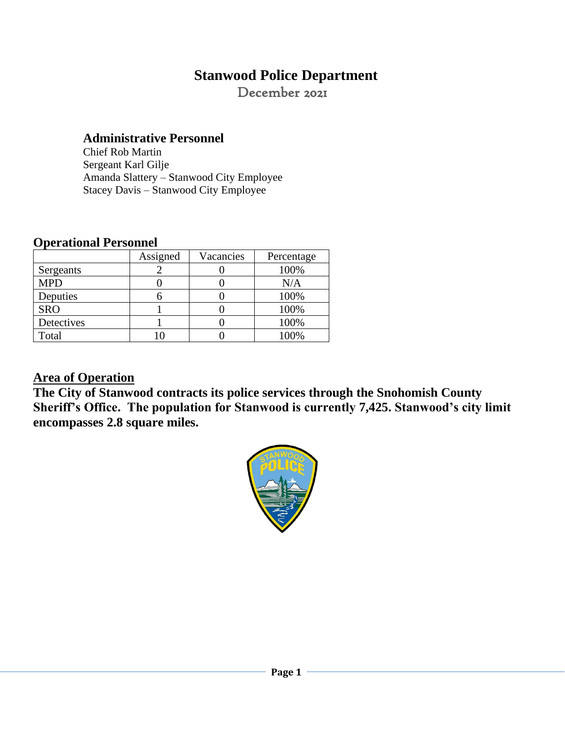# **Stanwood Police Department**

December 2021

### **Administrative Personnel**

Chief Rob Martin Sergeant Karl Gilje Amanda Slattery – Stanwood City Employee Stacey Davis – Stanwood City Employee

### **Operational Personnel**

|            | Assigned | Vacancies | Percentage |
|------------|----------|-----------|------------|
| Sergeants  |          |           | 100%       |
| <b>MPD</b> |          |           | N/A        |
| Deputies   |          |           | 100%       |
| <b>SRO</b> |          |           | 100%       |
| Detectives |          |           | 100%       |
| Total      |          |           | 100%       |

## **Area of Operation**

**The City of Stanwood contracts its police services through the Snohomish County Sheriff's Office. The population for Stanwood is currently 7,425. Stanwood's city limit encompasses 2.8 square miles.** 

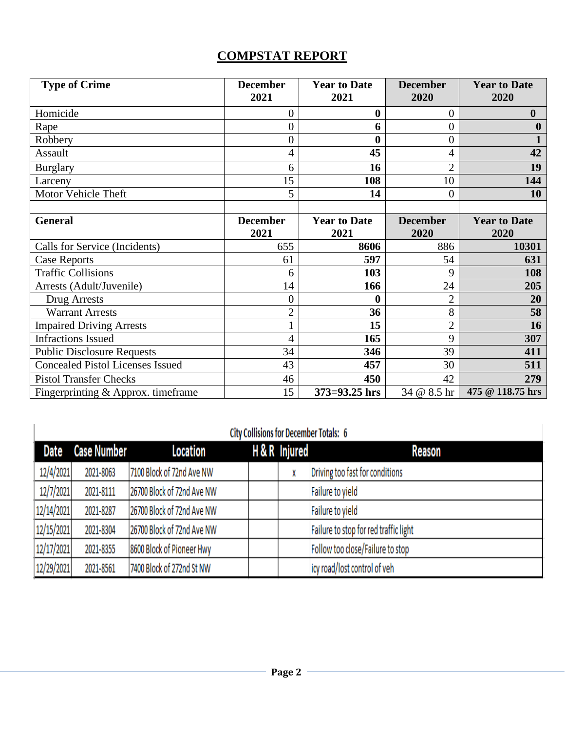## **COMPSTAT REPORT**

| <b>Type of Crime</b>                    | <b>December</b><br>2021 | <b>Year to Date</b><br>2021 | <b>December</b><br>2020 | <b>Year to Date</b><br>2020 |
|-----------------------------------------|-------------------------|-----------------------------|-------------------------|-----------------------------|
| Homicide                                | 0                       | $\bf{0}$                    | $\theta$                | $\boldsymbol{0}$            |
| Rape                                    | 0                       | 6                           | 0                       | 0                           |
| Robbery                                 | 0                       | $\bf{0}$                    | 0                       |                             |
| Assault                                 | 4                       | 45                          | 4                       | 42                          |
| <b>Burglary</b>                         | 6                       | 16                          | $\overline{2}$          | 19                          |
| Larceny                                 | 15                      | 108                         | 10                      | 144                         |
| Motor Vehicle Theft                     | 5                       | 14                          | 0                       | 10                          |
|                                         |                         |                             |                         |                             |
| <b>General</b>                          | <b>December</b><br>2021 | <b>Year to Date</b><br>2021 | <b>December</b><br>2020 | <b>Year to Date</b><br>2020 |
| Calls for Service (Incidents)           | 655                     | 8606                        | 886                     | 10301                       |
| <b>Case Reports</b>                     | 61                      | 597                         | 54                      | 631                         |
| <b>Traffic Collisions</b>               | 6                       | 103                         | 9                       | 108                         |
| Arrests (Adult/Juvenile)                | 14                      | 166                         | 24                      | 205                         |
| <b>Drug Arrests</b>                     | 0                       | $\bf{0}$                    | $\overline{2}$          | 20                          |
| <b>Warrant Arrests</b>                  | $\overline{2}$          | 36                          | 8                       | 58                          |
| <b>Impaired Driving Arrests</b>         |                         | 15                          | $\overline{2}$          | 16                          |
| <b>Infractions Issued</b>               | 4                       | 165                         | 9                       | 307                         |
| <b>Public Disclosure Requests</b>       | 34                      | 346                         | 39                      | 411                         |
| <b>Concealed Pistol Licenses Issued</b> | 43                      | 457                         | 30                      | 511                         |
| <b>Pistol Transfer Checks</b>           | 46                      | 450                         | 42                      | 279                         |
| Fingerprinting $&$ Approx. time frame   | 15                      | $373 = 93.25$ hrs           | 34 @ 8.5 hr             | 475 @ 118.75 hrs            |

| <b>City Collisions for December Totals: 6</b> |             |                            |  |               |                                       |  |  |  |
|-----------------------------------------------|-------------|----------------------------|--|---------------|---------------------------------------|--|--|--|
| Date                                          | Case Number | Location                   |  | H & R Injured | Reason                                |  |  |  |
| 12/4/2021                                     | 2021-8063   | 7100 Block of 72nd Ave NW  |  |               | Driving too fast for conditions       |  |  |  |
| 12/7/2021                                     | 2021-8111   | 26700 Block of 72nd Ave NW |  |               | Failure to yield                      |  |  |  |
| 12/14/2021                                    | 2021-8287   | 26700 Block of 72nd Ave NW |  |               | Failure to yield                      |  |  |  |
| 12/15/2021                                    | 2021-8304   | 26700 Block of 72nd Ave NW |  |               | Failure to stop for red traffic light |  |  |  |
| 12/17/2021                                    | 2021-8355   | 8600 Block of Pioneer Hwy  |  |               | Follow too close/Failure to stop      |  |  |  |
| 12/29/2021                                    | 2021-8561   | 7400 Block of 272nd St NW  |  |               | icy road/lost control of veh          |  |  |  |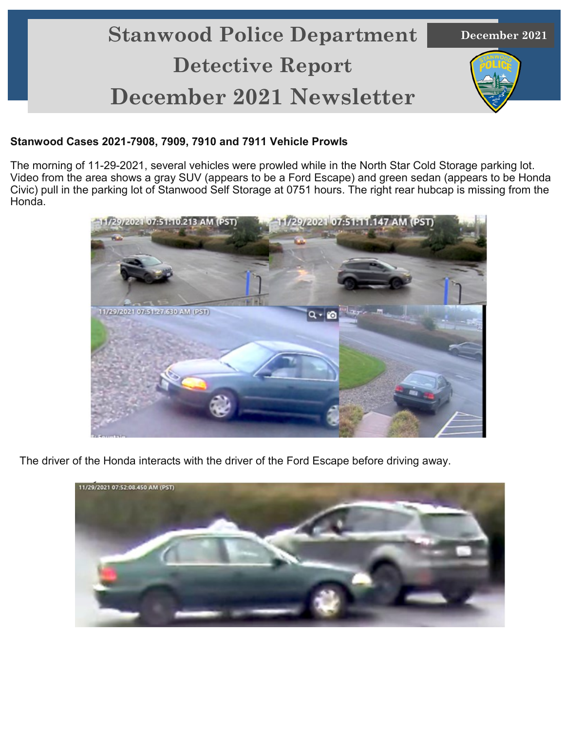# **Stanwood Police Department Detective Report December 2021 Newsletter**

**December 2021**

#### **Stanwood Cases 2021-7908, 7909, 7910 and 7911 Vehicle Prowls**

The morning of 11-29-2021, several vehicles were prowled while in the North Star Cold Storage parking lot. Video from the area shows a gray SUV (appears to be a Ford Escape) and green sedan (appears to be Honda Civic) pull in the parking lot of Stanwood Self Storage at 0751 hours. The right rear hubcap is missing from the Honda.



The driver of the Honda interacts with the driver of the Ford Escape before driving away.

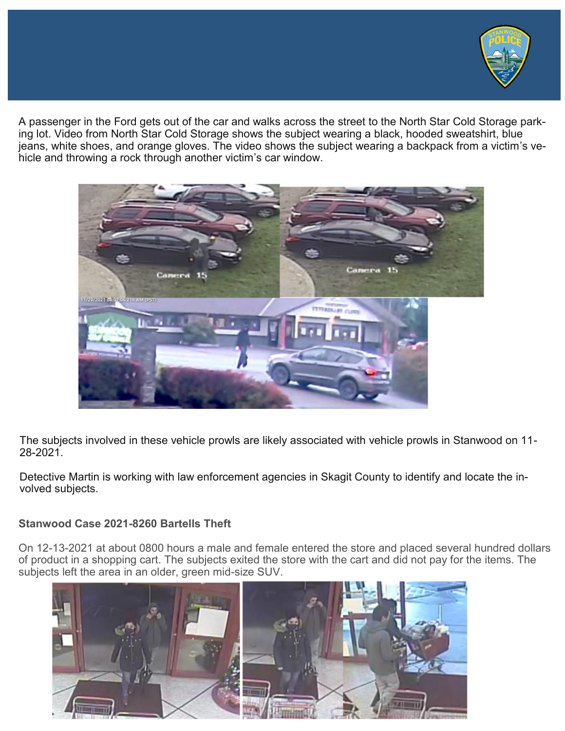

A passenger in the Ford gets out of the car and walks across the street to the North Star Cold Storage parking lot. Video from North Star Cold Storage shows the subject wearing a black, hooded sweatshirt, blue jeans, white shoes, and orange gloves. The video shows the subject wearing a backpack from a victim's vehicle and throwing a rock through another victim's car window.



The subjects involved in these vehicle prowls are likely associated with vehicle prowls in Stanwood on 11- 28-2021.

Detective Martin is working with law enforcement agencies in Skagit County to identify and locate the involved subjects.

#### **Stanwood Case 2021-8260 Bartells Theft**

On 12-13-2021 at about 0800 hours a male and female entered the store and placed several hundred dollars of product in a shopping cart. The subjects exited the store with the cart and did not pay for the items. The subjects left the area in an older, green mid-size SUV.